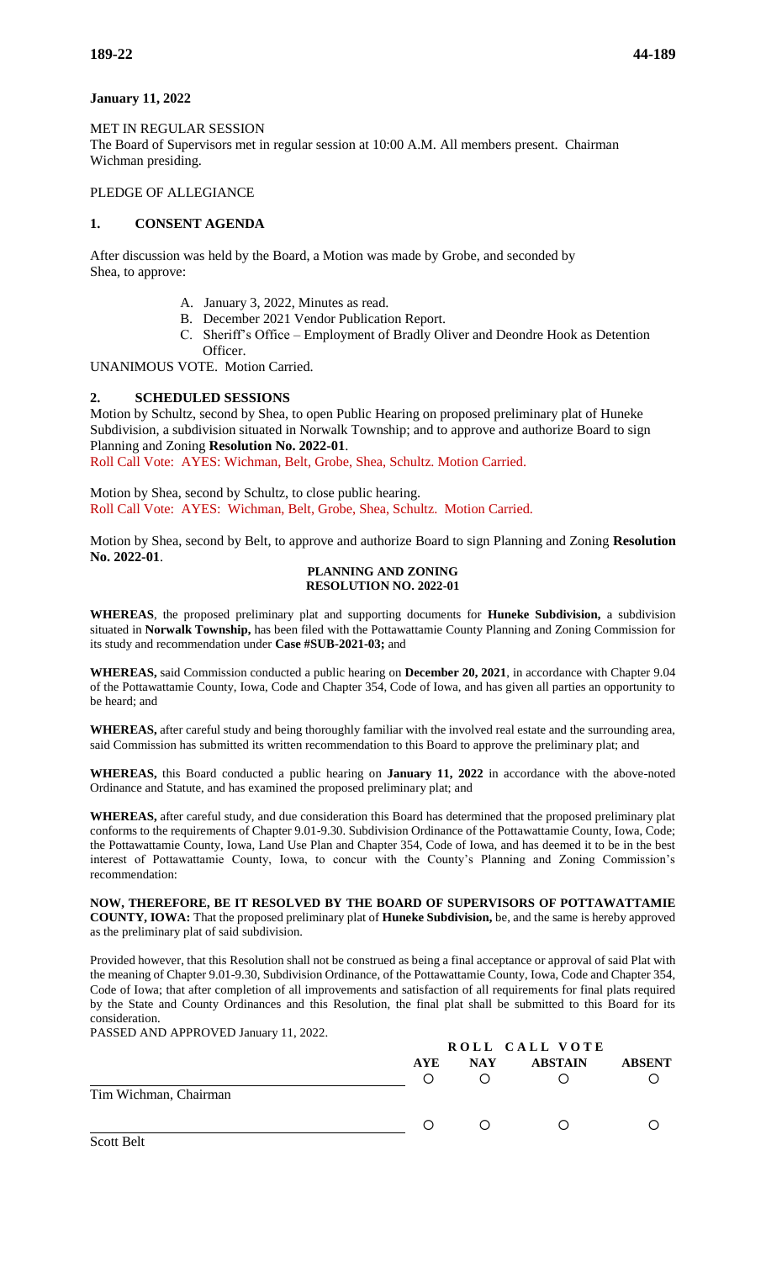### **January 11, 2022**

MET IN REGULAR SESSION The Board of Supervisors met in regular session at 10:00 A.M. All members present. Chairman Wichman presiding.

### PLEDGE OF ALLEGIANCE

# **1. CONSENT AGENDA**

After discussion was held by the Board, a Motion was made by Grobe, and seconded by Shea, to approve:

- A. January 3, 2022, Minutes as read.
- B. December 2021 Vendor Publication Report.
- C. Sheriff's Office Employment of Bradly Oliver and Deondre Hook as Detention **Officer**

UNANIMOUS VOTE. Motion Carried.

### **2. SCHEDULED SESSIONS**

Motion by Schultz, second by Shea, to open Public Hearing on proposed preliminary plat of Huneke Subdivision, a subdivision situated in Norwalk Township; and to approve and authorize Board to sign Planning and Zoning **Resolution No. 2022-01**.

Roll Call Vote: AYES: Wichman, Belt, Grobe, Shea, Schultz. Motion Carried.

Motion by Shea, second by Schultz, to close public hearing. Roll Call Vote: AYES: Wichman, Belt, Grobe, Shea, Schultz. Motion Carried.

Motion by Shea, second by Belt, to approve and authorize Board to sign Planning and Zoning **Resolution No. 2022-01**.

#### **PLANNING AND ZONING RESOLUTION NO. 2022-01**

**WHEREAS**, the proposed preliminary plat and supporting documents for **Huneke Subdivision,** a subdivision situated in **Norwalk Township,** has been filed with the Pottawattamie County Planning and Zoning Commission for its study and recommendation under **Case #SUB-2021-03;** and

**WHEREAS,** said Commission conducted a public hearing on **December 20, 2021**, in accordance with Chapter 9.04 of the Pottawattamie County, Iowa, Code and Chapter 354, Code of Iowa, and has given all parties an opportunity to be heard; and

**WHEREAS,** after careful study and being thoroughly familiar with the involved real estate and the surrounding area, said Commission has submitted its written recommendation to this Board to approve the preliminary plat; and

**WHEREAS,** this Board conducted a public hearing on **January 11, 2022** in accordance with the above-noted Ordinance and Statute, and has examined the proposed preliminary plat; and

**WHEREAS,** after careful study, and due consideration this Board has determined that the proposed preliminary plat conforms to the requirements of Chapter 9.01-9.30. Subdivision Ordinance of the Pottawattamie County, Iowa, Code; the Pottawattamie County, Iowa, Land Use Plan and Chapter 354, Code of Iowa, and has deemed it to be in the best interest of Pottawattamie County, Iowa, to concur with the County's Planning and Zoning Commission's recommendation:

**NOW, THEREFORE, BE IT RESOLVED BY THE BOARD OF SUPERVISORS OF POTTAWATTAMIE COUNTY, IOWA:** That the proposed preliminary plat of **Huneke Subdivision,** be, and the same is hereby approved as the preliminary plat of said subdivision.

Provided however, that this Resolution shall not be construed as being a final acceptance or approval of said Plat with the meaning of Chapter 9.01-9.30, Subdivision Ordinance, of the Pottawattamie County, Iowa, Code and Chapter 354, Code of Iowa; that after completion of all improvements and satisfaction of all requirements for final plats required by the State and County Ordinances and this Resolution, the final plat shall be submitted to this Board for its consideration.

PASSED AND APPROVED January 11, 2022.

| $1.1002221112112111012122000000011110202211$ | ROLL CALL VOTE   |                  |                  |               |
|----------------------------------------------|------------------|------------------|------------------|---------------|
|                                              | <b>AYE</b>       | <b>NAY</b>       | <b>ABSTAIN</b>   | <b>ABSENT</b> |
|                                              |                  |                  |                  |               |
| Tim Wichman, Chairman                        |                  |                  |                  |               |
|                                              | $\left( \right)$ | $\left( \right)$ | $\left( \right)$ |               |
| <b>Scott Belt</b>                            |                  |                  |                  |               |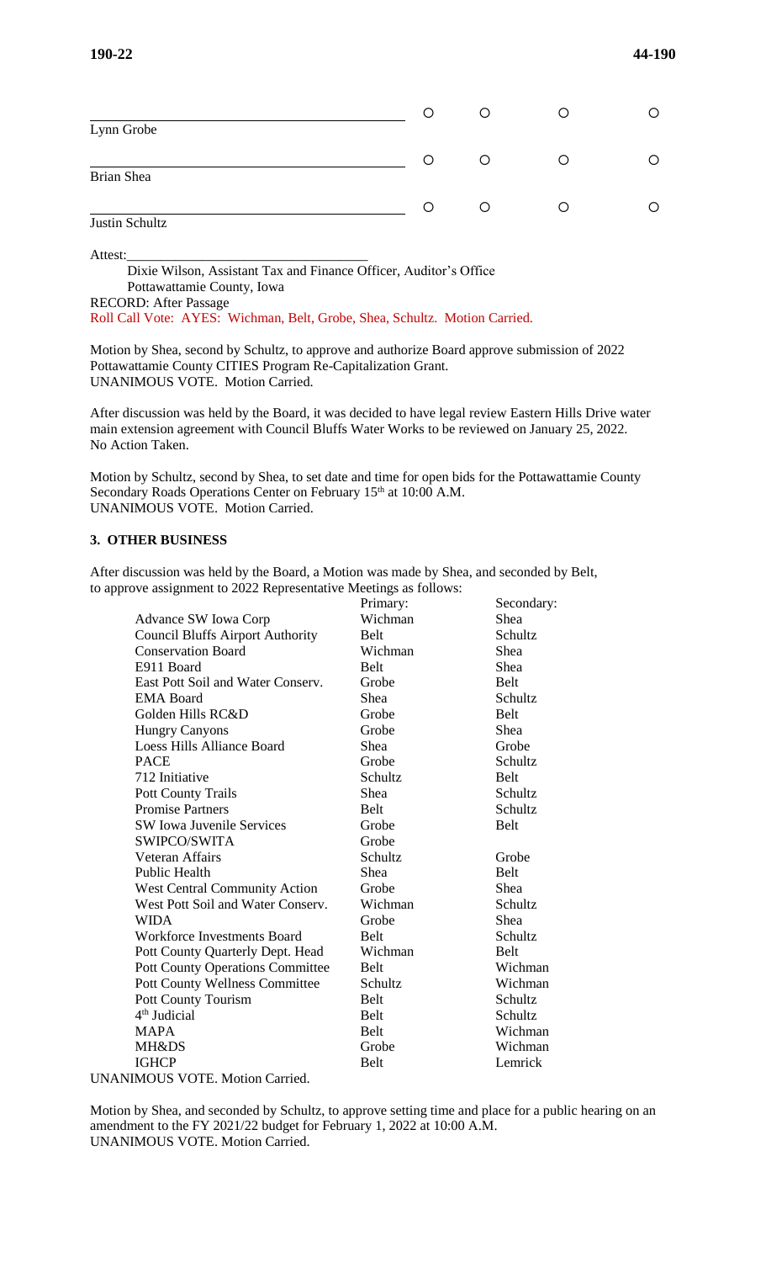|                | O | O |   | O |
|----------------|---|---|---|---|
| Lynn Grobe     |   |   |   |   |
|                | O | O | O |   |
| Brian Shea     |   |   |   |   |
|                | О | O | O |   |
| Justin Schultz |   |   |   |   |

Attest:

Dixie Wilson, Assistant Tax and Finance Officer, Auditor's Office Pottawattamie County, Iowa RECORD: After Passage

Roll Call Vote: AYES: Wichman, Belt, Grobe, Shea, Schultz. Motion Carried.

Motion by Shea, second by Schultz, to approve and authorize Board approve submission of 2022 Pottawattamie County CITIES Program Re-Capitalization Grant. UNANIMOUS VOTE. Motion Carried.

After discussion was held by the Board, it was decided to have legal review Eastern Hills Drive water main extension agreement with Council Bluffs Water Works to be reviewed on January 25, 2022. No Action Taken.

Motion by Schultz, second by Shea, to set date and time for open bids for the Pottawattamie County Secondary Roads Operations Center on February 15<sup>th</sup> at 10:00 A.M. UNANIMOUS VOTE. Motion Carried.

### **3. OTHER BUSINESS**

After discussion was held by the Board, a Motion was made by Shea, and seconded by Belt, to approve assignment to 2022 Representative Meetings as follows:

|                                                                                  | Primary:    | Secondary:  |
|----------------------------------------------------------------------------------|-------------|-------------|
| Advance SW Iowa Corp                                                             | Wichman     | Shea        |
| <b>Council Bluffs Airport Authority</b>                                          | Belt        | Schultz     |
| <b>Conservation Board</b>                                                        | Wichman     | Shea        |
| E911 Board                                                                       | <b>Belt</b> | Shea        |
| East Pott Soil and Water Conserv.                                                | Grobe       | <b>Belt</b> |
| <b>EMA Board</b>                                                                 | Shea        | Schultz     |
| Golden Hills RC&D                                                                | Grobe       | <b>Belt</b> |
| <b>Hungry Canyons</b>                                                            | Grobe       | <b>Shea</b> |
| <b>Loess Hills Alliance Board</b>                                                | Shea        | Grobe       |
| <b>PACE</b>                                                                      | Grobe       | Schultz     |
| 712 Initiative                                                                   | Schultz     | <b>Belt</b> |
| <b>Pott County Trails</b>                                                        | Shea        | Schultz     |
| <b>Promise Partners</b>                                                          | <b>Belt</b> | Schultz     |
| SW Iowa Juvenile Services                                                        | Grobe       | Belt        |
| SWIPCO/SWITA                                                                     | Grobe       |             |
| Veteran Affairs                                                                  | Schultz     | Grobe       |
| Public Health                                                                    | Shea        | Belt        |
| <b>West Central Community Action</b>                                             | Grobe       | Shea        |
| West Pott Soil and Water Conserv.                                                | Wichman     | Schultz     |
| <b>WIDA</b>                                                                      | Grobe       | Shea        |
| <b>Workforce Investments Board</b>                                               | <b>Belt</b> | Schultz     |
| Pott County Quarterly Dept. Head                                                 | Wichman     | <b>Belt</b> |
| <b>Pott County Operations Committee</b>                                          | Belt        | Wichman     |
| <b>Pott County Wellness Committee</b>                                            | Schultz     | Wichman     |
| <b>Pott County Tourism</b>                                                       | <b>Belt</b> | Schultz     |
| 4 <sup>th</sup> Judicial                                                         | <b>Belt</b> | Schultz     |
| <b>MAPA</b>                                                                      | Belt        | Wichman     |
| <b>MH&amp;DS</b>                                                                 | Grobe       | Wichman     |
| <b>IGHCP</b>                                                                     | <b>Belt</b> | Lemrick     |
| $M$ $\Omega$ is $M$ $\Omega$ TE $M$ $\Omega$ <sub>a</sub> $\Omega$ <sub>am</sub> |             |             |

UNANIMOUS VOTE. Motion Carried.

Motion by Shea, and seconded by Schultz, to approve setting time and place for a public hearing on an amendment to the FY 2021/22 budget for February 1, 2022 at 10:00 A.M. UNANIMOUS VOTE. Motion Carried.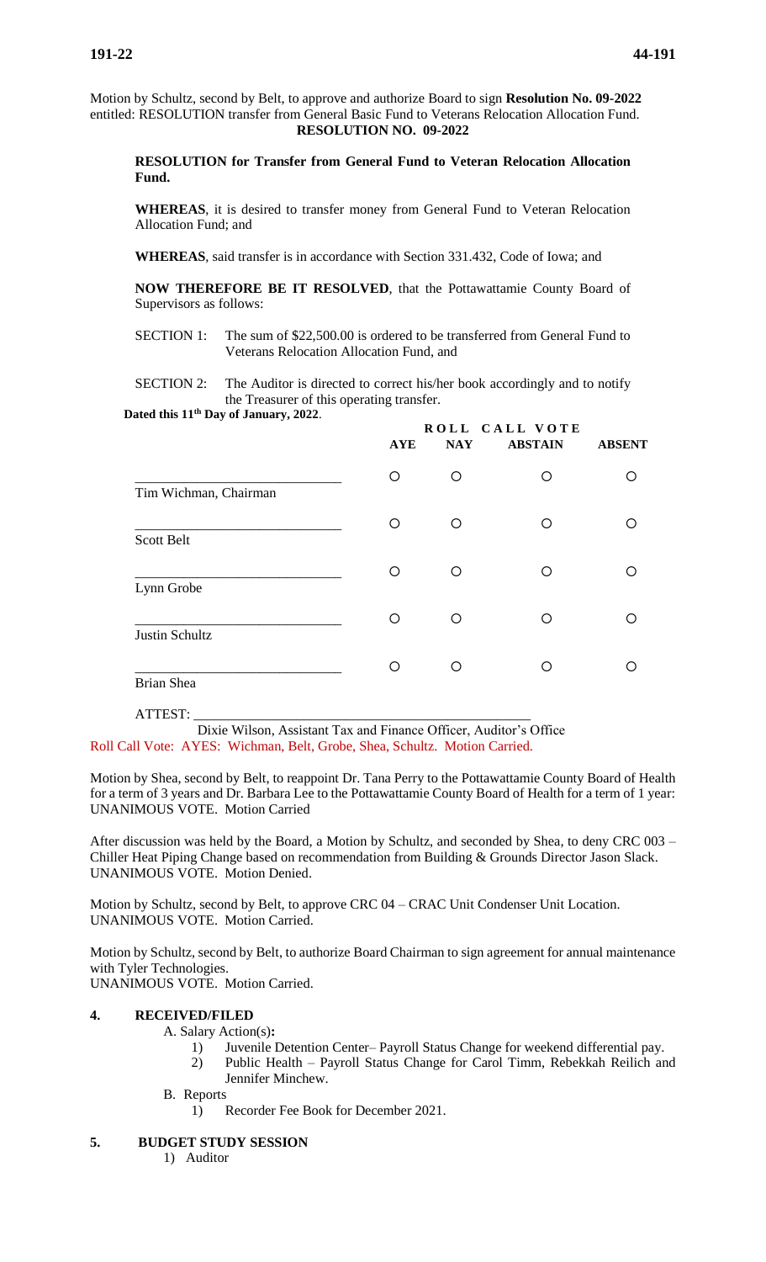**RESOLUTION for Transfer from General Fund to Veteran Relocation Allocation Fund.**

**WHEREAS**, it is desired to transfer money from General Fund to Veteran Relocation Allocation Fund; and

**WHEREAS**, said transfer is in accordance with Section 331.432, Code of Iowa; and

**NOW THEREFORE BE IT RESOLVED**, that the Pottawattamie County Board of Supervisors as follows:

SECTION 1: The sum of \$22,500.00 is ordered to be transferred from General Fund to Veterans Relocation Allocation Fund, and

SECTION 2: The Auditor is directed to correct his/her book accordingly and to notify the Treasurer of this operating transfer.

**Dated this 11th Day of January, 2022**. **R O L L C A L L L V O T E** 

|                       | <b>AYE</b> | ROLL CALL VOTE<br><b>ABSTAIN</b><br><b>NAY</b> |   |  |
|-----------------------|------------|------------------------------------------------|---|--|
| Tim Wichman, Chairman | O          | O                                              | O |  |
| Scott Belt            | О          | O                                              | ∩ |  |
| Lynn Grobe            | O          | ◯                                              | ∩ |  |
| Justin Schultz        | О          | O                                              | ∩ |  |
| <b>Brian Shea</b>     | ∩          | ∩                                              | ∩ |  |

ATTEST: \_\_\_\_\_\_\_\_\_\_\_\_\_\_\_\_\_\_\_\_\_\_\_\_\_\_\_\_\_\_\_\_\_\_\_\_\_\_\_\_\_\_\_\_\_\_\_\_\_

 Dixie Wilson, Assistant Tax and Finance Officer, Auditor's Office Roll Call Vote: AYES: Wichman, Belt, Grobe, Shea, Schultz. Motion Carried.

Motion by Shea, second by Belt, to reappoint Dr. Tana Perry to the Pottawattamie County Board of Health for a term of 3 years and Dr. Barbara Lee to the Pottawattamie County Board of Health for a term of 1 year: UNANIMOUS VOTE. Motion Carried

After discussion was held by the Board, a Motion by Schultz, and seconded by Shea, to deny CRC 003 – Chiller Heat Piping Change based on recommendation from Building & Grounds Director Jason Slack. UNANIMOUS VOTE. Motion Denied.

Motion by Schultz, second by Belt, to approve CRC 04 – CRAC Unit Condenser Unit Location. UNANIMOUS VOTE. Motion Carried.

Motion by Schultz, second by Belt, to authorize Board Chairman to sign agreement for annual maintenance with Tyler Technologies.

UNANIMOUS VOTE. Motion Carried.

# **4. RECEIVED/FILED**

A. Salary Action(s)**:**

- 1) Juvenile Detention Center– Payroll Status Change for weekend differential pay.
- 2) Public Health Payroll Status Change for Carol Timm, Rebekkah Reilich and Jennifer Minchew.
- B. Reports
	- 1) Recorder Fee Book for December 2021.

# **5. BUDGET STUDY SESSION**

1) Auditor